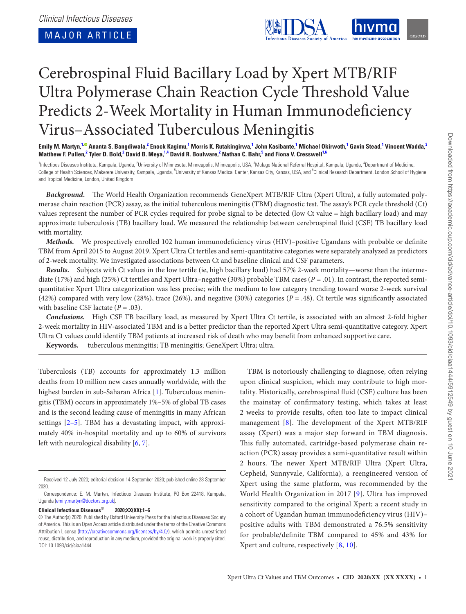<span id="page-0-5"></span><span id="page-0-3"></span><span id="page-0-2"></span>

# Cerebrospinal Fluid Bacillary Load by Xpert MTB/RIF Ultra Polymerase Chain Reaction Cycle Threshold Value Predicts 2-Week Mortality in Human Immunodeficiency Virus–Associated Tuberculous Meningitis

Emily M. Martyn,<sup>[1](#page-0-0),©</sup> Ananta S. Bangdiwala,<sup>[2](#page-0-1)</sup> Enock Kagimu,<sup>1</sup> Morris K. Rutakingirwa,<sup>1</sup> John Kasibante,<sup>1</sup> Michael Okirwoth,<sup>1</sup> Gavin Stead,<sup>1</sup> Vincent Wadda,<sup>[3](#page-0-2)</sup> Matthew F. Pullen,<sup>[2](#page-0-1)</sup> Tyler D. Bold,<sup>2</sup> David B. Meya,<sup>[1,](#page-0-0)[4](#page-0-3)</sup> David R. Boulware,<sup>2</sup> Nathan C. Bahr,<sup>[5](#page-0-4)</sup> and Fiona V. Cresswell<sup>1,[6](#page-0-5)</sup>

<span id="page-0-4"></span><span id="page-0-1"></span><span id="page-0-0"></span><sup>1</sup>Infectious Diseases Institute, Kampala, Uganda, <sup>2</sup>University of Minneapolis, Minneapolis, USA, <sup>3</sup>Mulago National Referral Hospital, Kampala, Uganda, <sup>4</sup>Department of Medicine, College of Health Sciences, Makerere University, Kampala, Uganda, <sup>5</sup>University of Kansas Medical Center, Kansas City, Kansas, USA, and <sup>6</sup>Clinical Research Department, London School of Hygiene and Tropical Medicine, London, United Kingdom

*Background.* The World Health Organization recommends GeneXpert MTB/RIF Ultra (Xpert Ultra), a fully automated polymerase chain reaction (PCR) assay, as the initial tuberculous meningitis (TBM) diagnostic test. The assay's PCR cycle threshold (Ct) values represent the number of PCR cycles required for probe signal to be detected (low Ct value = high bacillary load) and may approximate tuberculosis (TB) bacillary load. We measured the relationship between cerebrospinal fluid (CSF) TB bacillary load with mortality.

*Methods.* We prospectively enrolled 102 human immunodeficiency virus (HIV)–positive Ugandans with probable or definite TBM from April 2015 to August 2019. Xpert Ultra Ct tertiles and semi-quantitative categories were separately analyzed as predictors of 2-week mortality. We investigated associations between Ct and baseline clinical and CSF parameters.

*Results.* Subjects with Ct values in the low tertile (ie, high bacillary load) had 57% 2-week mortality—worse than the intermediate (17%) and high (25%) Ct tertiles and Xpert Ultra–negative (30%) probable TBM cases (*P* = .01). In contrast, the reported semiquantitative Xpert Ultra categorization was less precise; with the medium to low category trending toward worse 2-week survival (42%) compared with very low (28%), trace (26%), and negative (30%) categories (*P* = .48). Ct tertile was significantly associated with baseline CSF lactate  $(P = .03)$ .

*Conclusions.* High CSF TB bacillary load, as measured by Xpert Ultra Ct tertile, is associated with an almost 2-fold higher 2-week mortality in HIV-associated TBM and is a better predictor than the reported Xpert Ultra semi-quantitative category. Xpert Ultra Ct values could identify TBM patients at increased risk of death who may benefit from enhanced supportive care.

**Keywords.** tuberculous meningitis; TB meningitis; GeneXpert Ultra; ultra.

Tuberculosis (TB) accounts for approximately 1.3 million deaths from 10 million new cases annually worldwide, with the highest burden in sub-Saharan Africa [\[1\]](#page-5-0). Tuberculous meningitis (TBM) occurs in approximately 1%–5% of global TB cases and is the second leading cause of meningitis in many African settings [\[2–](#page-5-1)[5](#page-5-2)]. TBM has a devastating impact, with approximately 40% in-hospital mortality and up to 60% of survivors left with neurological disability [\[6,](#page-5-3) [7\]](#page-5-4).

**Clinical Infectious Diseases® 2020;XX(XX):1–6**

TBM is notoriously challenging to diagnose, often relying upon clinical suspicion, which may contribute to high mortality. Historically, cerebrospinal fluid (CSF) culture has been the mainstay of confirmatory testing, which takes at least 2 weeks to provide results, often too late to impact clinical management [\[8\]](#page-5-5). The development of the Xpert MTB/RIF assay (Xpert) was a major step forward in TBM diagnosis. This fully automated, cartridge-based polymerase chain reaction (PCR) assay provides a semi-quantitative result within 2 hours. The newer Xpert MTB/RIF Ultra (Xpert Ultra, Cepheid, Sunnyvale, California), a reengineered version of Xpert using the same platform, was recommended by the World Health Organization in 2017 [\[9](#page-5-6)]. Ultra has improved sensitivity compared to the original Xpert; a recent study in a cohort of Ugandan human immunodeficiency virus (HIV)– positive adults with TBM demonstrated a 76.5% sensitivity for probable/definite TBM compared to 45% and 43% for Xpert and culture, respectively [[8](#page-5-5), [10](#page-5-7)].

Received 12 July 2020; editorial decision 14 September 2020; published online 28 September 2020.

Correspondence: E. M. Martyn, Infectious Diseases Institute, PO Box 22418, Kampala, Uganda ([emily.martyn@doctors.org.uk](mailto:emily.martyn@doctors.org.uk?subject=)).

<sup>©</sup> The Author(s) 2020. Published by Oxford University Press for the Infectious Diseases Society of America. This is an Open Access article distributed under the terms of the Creative Commons Attribution License ([http://creativecommons.org/licenses/by/4.0/\)](http://creativecommons.org/licenses/by/4.0/), which permits unrestricted reuse, distribution, and reproduction in any medium, provided the original work is properly cited. DOI: 10.1093/cid/ciaa1444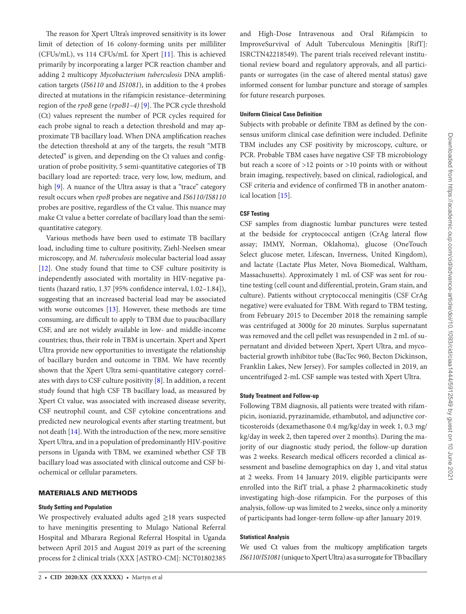The reason for Xpert Ultra's improved sensitivity is its lower limit of detection of 16 colony-forming units per milliliter (CFUs/mL), vs 114 CFUs/mL for Xpert [[11\]](#page-5-8). This is achieved primarily by incorporating a larger PCR reaction chamber and adding 2 multicopy *Mycobacterium tuberculosis* DNA amplification targets (*IS6110* and *IS1081*), in addition to the 4 probes directed at mutations in the rifampicin resistance–determining region of the *rpoB* gene (*rpoB1–4)* [\[9\]](#page-5-6). The PCR cycle threshold (Ct) values represent the number of PCR cycles required for each probe signal to reach a detection threshold and may approximate TB bacillary load. When DNA amplification reaches the detection threshold at any of the targets, the result "MTB detected" is given, and depending on the Ct values and configuration of probe positivity, 5 semi-quantitative categories of TB bacillary load are reported: trace, very low, low, medium, and high [\[9\]](#page-5-6). A nuance of the Ultra assay is that a "trace" category result occurs when *rpoB* probes are negative and *IS6110/IS8110* probes are positive, regardless of the Ct value. This nuance may make Ct value a better correlate of bacillary load than the semiquantitative category.

Various methods have been used to estimate TB bacillary load, including time to culture positivity, Ziehl-Neelsen smear microscopy, and *M. tuberculosis* molecular bacterial load assay [\[12](#page-5-9)]. One study found that time to CSF culture positivity is independently associated with mortality in HIV-negative patients (hazard ratio, 1.37 [95% confidence interval, 1.02–1.84]), suggesting that an increased bacterial load may be associated with worse outcomes [[13\]](#page-5-10). However, these methods are time consuming, are difficult to apply to TBM due to paucibacillary CSF, and are not widely available in low- and middle-income countries; thus, their role in TBM is uncertain. Xpert and Xpert Ultra provide new opportunities to investigate the relationship of bacillary burden and outcome in TBM. We have recently shown that the Xpert Ultra semi-quantitative category correlates with days to CSF culture positivity  $[8]$  $[8]$ . In addition, a recent study found that high CSF TB bacillary load, as measured by Xpert Ct value, was associated with increased disease severity, CSF neutrophil count, and CSF cytokine concentrations and predicted new neurological events after starting treatment, but not death [[14](#page-5-11)]. With the introduction of the new, more sensitive Xpert Ultra, and in a population of predominantly HIV-positive persons in Uganda with TBM, we examined whether CSF TB bacillary load was associated with clinical outcome and CSF biochemical or cellular parameters.

# MATERIALS AND METHODS

# **Study Setting and Population**

We prospectively evaluated adults aged  $\geq$ 18 years suspected to have meningitis presenting to Mulago National Referral Hospital and Mbarara Regional Referral Hospital in Uganda between April 2015 and August 2019 as part of the screening process for 2 clinical trials (XXX [ASTRO-CM]: NCT01802385 and High-Dose Intravenous and Oral Rifampicin to ImproveSurvival of Adult Tuberculous Meningitis [RifT]: ISRCTN42218549). The parent trials received relevant institutional review board and regulatory approvals, and all participants or surrogates (in the case of altered mental status) gave informed consent for lumbar puncture and storage of samples for future research purposes.

## **Uniform Clinical Case Definition**

Subjects with probable or definite TBM as defined by the consensus uniform clinical case definition were included. Definite TBM includes any CSF positivity by microscopy, culture, or PCR. Probable TBM cases have negative CSF TB microbiology but reach a score of >12 points or >10 points with or without brain imaging, respectively, based on clinical, radiological, and CSF criteria and evidence of confirmed TB in another anatomical location [[15\]](#page-5-12).

# **CSF Testing**

CSF samples from diagnostic lumbar punctures were tested at the bedside for cryptococcal antigen (CrAg lateral flow assay; IMMY, Norman, Oklahoma), glucose (OneTouch Select glucose meter, Lifescan, Inverness, United Kingdom), and lactate (Lactate Plus Meter, Nova Biomedical, Waltham, Massachusetts). Approximately 1 mL of CSF was sent for routine testing (cell count and differential, protein, Gram stain, and culture). Patients without cryptococcal meningitis (CSF CrAg negative) were evaluated for TBM. With regard to TBM testing, from February 2015 to December 2018 the remaining sample was centrifuged at 3000*g* for 20 minutes. Surplus supernatant was removed and the cell pellet was resuspended in 2 mL of supernatant and divided between Xpert, Xpert Ultra, and mycobacterial growth inhibitor tube (BacTec 960, Becton Dickinson, Franklin Lakes, New Jersey). For samples collected in 2019, an uncentrifuged 2-mL CSF sample was tested with Xpert Ultra.

## **Study Treatment and Follow-up**

Following TBM diagnosis, all patients were treated with rifampicin, isoniazid, pyrazinamide, ethambutol, and adjunctive corticosteroids (dexamethasone 0.4 mg/kg/day in week 1, 0.3 mg/ kg/day in week 2, then tapered over 2 months). During the majority of our diagnostic study period, the follow-up duration was 2 weeks. Research medical officers recorded a clinical assessment and baseline demographics on day 1, and vital status at 2 weeks. From 14 January 2019, eligible participants were enrolled into the RifT trial, a phase 2 pharmacokinetic study investigating high-dose rifampicin. For the purposes of this analysis, follow-up was limited to 2 weeks, since only a minority of participants had longer-term follow-up after January 2019.

## **Statistical Analysis**

We used Ct values from the multicopy amplification targets *IS6110*/*IS1081* (unique to Xpert Ultra) as a surrogate for TB bacillary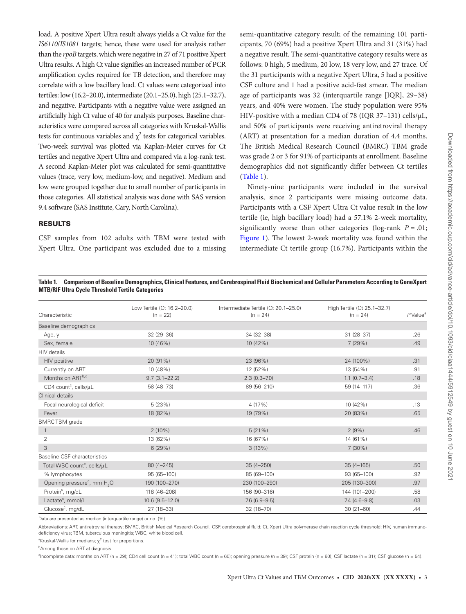load. A positive Xpert Ultra result always yields a Ct value for the *IS6110*/*IS1081* targets; hence, these were used for analysis rather than the *rpoB* targets, which were negative in 27 of 71 positive Xpert Ultra results. A high Ct value signifies an increased number of PCR amplification cycles required for TB detection, and therefore may correlate with a low bacillary load. Ct values were categorized into tertiles: low (16.2–20.0), intermediate (20.1–25.0), high (25.1–32.7), and negative. Participants with a negative value were assigned an artificially high Ct value of 40 for analysis purposes. Baseline characteristics were compared across all categories with Kruskal-Wallis tests for continuous variables and  $\chi^2$  tests for categorical variables. Two-week survival was plotted via Kaplan-Meier curves for Ct tertiles and negative Xpert Ultra and compared via a log-rank test. A second Kaplan-Meier plot was calculated for semi-quantitative values (trace, very low, medium-low, and negative). Medium and low were grouped together due to small number of participants in those categories. All statistical analysis was done with SAS version 9.4 software (SAS Institute, Cary, North Carolina).

# RESULTS

CSF samples from 102 adults with TBM were tested with Xpert Ultra. One participant was excluded due to a missing

semi-quantitative category result; of the remaining 101 participants, 70 (69%) had a positive Xpert Ultra and 31 (31%) had a negative result. The semi-quantitative category results were as follows: 0 high, 5 medium, 20 low, 18 very low, and 27 trace. Of the 31 participants with a negative Xpert Ultra, 5 had a positive CSF culture and 1 had a positive acid-fast smear. The median age of participants was 32 (interquartile range [IQR], 29–38) years, and 40% were women. The study population were 95% HIV-positive with a median CD4 of 78 (IQR 37–131) cells/μL, and 50% of participants were receiving antiretroviral therapy (ART) at presentation for a median duration of 4.4 months. The British Medical Research Council (BMRC) TBM grade was grade 2 or 3 for 91% of participants at enrollment. Baseline demographics did not significantly differ between Ct tertiles [\(Table 1](#page-2-0)).

Ninety-nine participants were included in the survival analysis, since 2 participants were missing outcome data. Participants with a CSF Xpert Ultra Ct value result in the low tertile (ie, high bacillary load) had a 57.1% 2-week mortality, significantly worse than other categories (log-rank  $P = .01$ ; [Figure 1](#page-3-0)). The lowest 2-week mortality was found within the intermediate Ct tertile group (16.7%). Participants within the

## <span id="page-2-0"></span>**Table 1. Comparison of Baseline Demographics, Clinical Features, and Cerebrospinal Fluid Biochemical and Cellular Parameters According to GeneXpert MTB/RIF Ultra Cycle Threshold Tertile Categories**

| Characteristic                                      | Low Tertile (Ct 16.2-20.0)<br>$(n = 22)$ | Intermediate Tertile (Ct 20.1-25.0)<br>$(n = 24)$ | High Tertile (Ct 25.1-32.7)<br>$(n = 24)$ | $P$ Value <sup>a</sup> |
|-----------------------------------------------------|------------------------------------------|---------------------------------------------------|-------------------------------------------|------------------------|
| Baseline demographics                               |                                          |                                                   |                                           |                        |
|                                                     |                                          |                                                   |                                           |                        |
| Age, y                                              | $32(29 - 36)$                            | 34 (32-38)                                        | $31(28-37)$                               | .26                    |
| Sex, female                                         | 10 (46%)                                 | 10 (42%)                                          | 7(29%)                                    | .49                    |
| <b>HIV</b> details                                  |                                          |                                                   |                                           |                        |
| HIV positive                                        | 20 (91%)                                 | 23 (96%)                                          | 24 (100%)                                 | .31                    |
| Currently on ART                                    | 10 (48%)                                 | 12 (52%)                                          | 13 (54%)                                  | .91                    |
| Months on ARTb,c                                    | $9.7(3.1 - 22.2)$                        | $2.3(0.3 - 7.0)$                                  | $1.1(0.7 - 3.4)$                          | .18                    |
| CD4 count <sup>c</sup> , cells/µL                   | 58 (48-73)                               | 89 (56-210)                                       | 59 (14-117)                               | .36                    |
| Clinical details                                    |                                          |                                                   |                                           |                        |
| Focal neurological deficit                          | 5(23%)                                   | 4 (17%)                                           | 10 (42%)                                  | .13                    |
| Fever                                               | 18 (82%)                                 | 19 (79%)                                          | 20 (83%)                                  | .65                    |
| <b>BMRCTBM</b> grade                                |                                          |                                                   |                                           |                        |
| $\overline{1}$                                      | $2(10\%)$                                | 5(21%)                                            | 2(9%)                                     | .46                    |
| 2                                                   | 13 (62%)                                 | 16 (67%)                                          | 14 (61%)                                  |                        |
| 3                                                   | 6(29%)                                   | 3(13%)                                            | $7(30\%)$                                 |                        |
| Baseline CSF characteristics                        |                                          |                                                   |                                           |                        |
| Total WBC count <sup>c</sup> , cells/uL             | $80(4 - 245)$                            | $35(4 - 250)$                                     | $35(4 - 165)$                             | .50                    |
| % lymphocytes                                       | 95 (65-100)                              | 85 (69-100)                                       | 93 (65-100)                               | .92                    |
| Opening pressure <sup>c</sup> , mm H <sub>2</sub> O | 190 (100-270)                            | 230 (100-290)                                     | 205 (130-300)                             | .97                    |
| Protein <sup>c</sup> , mg/dL                        | 118 (46-208)                             | 156 (90-316)                                      | 144 (101-200)                             | .58                    |
| Lactate <sup>c</sup> , mmol/L                       | $10.6(9.5 - 12.0)$                       | $7.6(6.9-9.5)$                                    | $7.4(4.6-9.8)$                            | .03                    |
| Glucose <sup>c</sup> , mg/dL                        | 27 (18-33)                               | 32 (18-70)                                        | $30(21 - 60)$                             | .44                    |

Data are presented as median (interquartile range) or no. (%).

Abbreviations: ART, antiretroviral therapy; BMRC, British Medical Research Council; CSF, cerebrospinal fluid; Ct, Xpert Ultra polymerase chain reaction cycle threshold; HIV, human immunodeficiency virus; TBM, tuberculous meningitis; WBC, white blood cell.

<sup>a</sup>Kruskal-Wallis for medians;  $\chi^2$  test for proportions.

**Among those on ART at diagnosis.** 

 $c$  Incomplete data: months on ART (n = 29); CD4 cell count (n = 41); total WBC count (n = 65); opening pressure (n = 39); CSF protein (n = 60); CSF lactate (n = 31); CSF glucose (n = 54).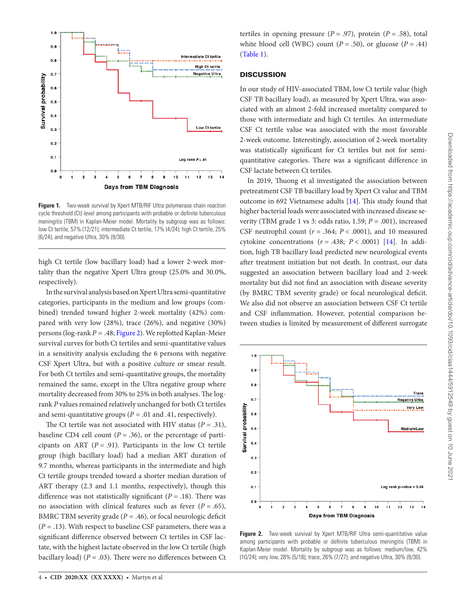

<span id="page-3-0"></span>**Figure 1.** Two-week survival by Xpert MTB/RIF Ultra polymerase chain reaction cycle threshold (Ct) level among participants with probable or definite tuberculous meningitis (TBM) in Kaplan-Meier model. Mortality by subgroup was as follows: low Ct tertile, 57% (12/21); intermediate Ct tertile, 17% (4/24); high Ct tertile, 25% (6/24); and negative Ultra, 30% (9/30).

high Ct tertile (low bacillary load) had a lower 2-week mortality than the negative Xpert Ultra group (25.0% and 30.0%, respectively).

In the survival analysis based on Xpert Ultra semi-quantitative categories, participants in the medium and low groups (combined) trended toward higher 2-week mortality (42%) compared with very low (28%), trace (26%), and negative (30%) persons (log-rank *P* = .48; [Figure 2\)](#page-3-1). We replotted Kaplan-Meier survival curves for both Ct tertiles and semi-quantitative values in a sensitivity analysis excluding the 6 persons with negative CSF Xpert Ultra, but with a positive culture or smear result. For both Ct tertiles and semi-quantitative groups, the mortality remained the same, except in the Ultra negative group where mortality decreased from 30% to 25% in both analyses. The logrank *P* values remained relatively unchanged for both Ct tertiles and semi-quantitative groups  $(P = .01$  and .41, respectively).

The Ct tertile was not associated with HIV status  $(P = .31)$ , baseline CD4 cell count  $(P = .36)$ , or the percentage of participants on ART  $(P = .91)$ . Participants in the low Ct tertile group (high bacillary load) had a median ART duration of 9.7 months, whereas participants in the intermediate and high Ct tertile groups trended toward a shorter median duration of ART therapy (2.3 and 1.1 months, respectively), though this difference was not statistically significant  $(P = .18)$ . There was no association with clinical features such as fever  $(P = .65)$ , BMRC TBM severity grade  $(P = .46)$ , or focal neurologic deficit  $(P = .13)$ . With respect to baseline CSF parameters, there was a significant difference observed between Ct tertiles in CSF lactate, with the highest lactate observed in the low Ct tertile (high bacillary load)  $(P = .03)$ . There were no differences between Ct

tertiles in opening pressure  $(P = .97)$ , protein  $(P = .58)$ , total white blood cell (WBC) count  $(P = .50)$ , or glucose  $(P = .44)$ [\(Table 1](#page-2-0)).

# **DISCUSSION**

In our study of HIV-associated TBM, low Ct tertile value (high CSF TB bacillary load), as measured by Xpert Ultra, was associated with an almost 2-fold increased mortality compared to those with intermediate and high Ct tertiles. An intermediate CSF Ct tertile value was associated with the most favorable 2-week outcome. Interestingly, association of 2-week mortality was statistically significant for Ct tertiles but not for semiquantitative categories. There was a significant difference in CSF lactate between Ct tertiles.

In 2019, Thuong et al investigated the association between pretreatment CSF TB bacillary load by Xpert Ct value and TBM outcome in 692 Vietnamese adults [[14](#page-5-11)]. This study found that higher bacterial loads were associated with increased disease severity (TBM grade 1 vs 3: odds ratio, 1.59; *P* = .001), increased CSF neutrophil count  $(r = .364; P < .0001)$ , and 10 measured cytokine concentrations  $(r = .438; P < .0001)$  [\[14](#page-5-11)]. In addition, high TB bacillary load predicted new neurological events after treatment initiation but not death. In contrast, our data suggested an association between bacillary load and 2-week mortality but did not find an association with disease severity (by BMRC TBM severity grade) or focal neurological deficit. We also did not observe an association between CSF Ct tertile and CSF inflammation. However, potential comparison between studies is limited by measurement of different surrogate



<span id="page-3-1"></span>**Figure 2.** Two-week survival by Xpert MTB/RIF Ultra semi-quantitative value among participants with probable or definite tuberculous meningitis (TBM) in Kaplan-Meier model. Mortality by subgroup was as follows: medium/low, 42% (10/24); very low, 28% (5/18); trace, 26% (7/27); and negative Ultra, 30% (9/30).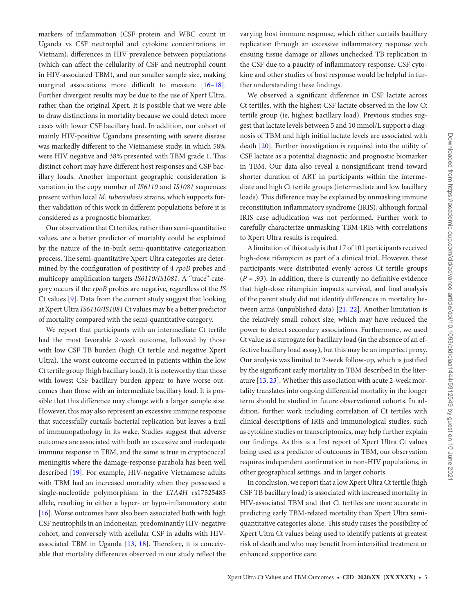markers of inflammation (CSF protein and WBC count in Uganda vs CSF neutrophil and cytokine concentrations in Vietnam), differences in HIV prevalence between populations (which can affect the cellularity of CSF and neutrophil count in HIV-associated TBM), and our smaller sample size, making marginal associations more difficult to measure [\[16](#page-5-13)-18]. Further divergent results may be due to the use of Xpert Ultra, rather than the original Xpert. It is possible that we were able to draw distinctions in mortality because we could detect more cases with lower CSF bacillary load. In addition, our cohort of mainly HIV-positive Ugandans presenting with severe disease was markedly different to the Vietnamese study, in which 58% were HIV negative and 38% presented with TBM grade 1. This distinct cohort may have different host responses and CSF bacillary loads. Another important geographic consideration is variation in the copy number of *IS6110* and *IS1081* sequences present within local *M. tuberculosis* strains, which supports further validation of this work in different populations before it is considered as a prognostic biomarker.

Our observation that Ct tertiles, rather than semi-quantitative values, are a better predictor of mortality could be explained by the nature of the in-built semi-quantitative categorization process. The semi-quantitative Xpert Ultra categories are determined by the configuration of positivity of 4 *rpoB* probes and multicopy amplification targets *IS6110/IS1081.* A "trace" category occurs if the *rpoB* probes are negative, regardless of the *IS* Ct values [[9](#page-5-6)]. Data from the current study suggest that looking at Xpert Ultra *IS6110/IS1081* Ct values may be a better predictor of mortality compared with the semi-quantitative category.

We report that participants with an intermediate Ct tertile had the most favorable 2-week outcome, followed by those with low CSF TB burden (high Ct tertile and negative Xpert Ultra). The worst outcome occurred in patients within the low Ct tertile group (high bacillary load). It is noteworthy that those with lowest CSF bacillary burden appear to have worse outcomes than those with an intermediate bacillary load. It is possible that this difference may change with a larger sample size. However, this may also represent an excessive immune response that successfully curtails bacterial replication but leaves a trail of immunopathology in its wake. Studies suggest that adverse outcomes are associated with both an excessive and inadequate immune response in TBM, and the same is true in cryptococcal meningitis where the damage-response parabola has been well described [\[19](#page-5-15)]. For example, HIV-negative Vietnamese adults with TBM had an increased mortality when they possessed a single-nucleotide polymorphism in the *LTA4H* rs17525485 allele, resulting in either a hyper- or hypo-inflammatory state [\[16](#page-5-13)]. Worse outcomes have also been associated both with high CSF neutrophils in an Indonesian, predominantly HIV-negative cohort, and conversely with acellular CSF in adults with HIV-associated TBM in Uganda [\[13](#page-5-10), [18](#page-5-14)]. Therefore, it is conceivable that mortality differences observed in our study reflect the

varying host immune response, which either curtails bacillary replication through an excessive inflammatory response with ensuing tissue damage or allows unchecked TB replication in the CSF due to a paucity of inflammatory response. CSF cytokine and other studies of host response would be helpful in further understanding these findings.

We observed a significant difference in CSF lactate across Ct tertiles, with the highest CSF lactate observed in the low Ct tertile group (ie, highest bacillary load). Previous studies suggest that lactate levels between 5 and 10 mmol/L support a diagnosis of TBM and high initial lactate levels are associated with death [\[20](#page-5-16)]. Further investigation is required into the utility of CSF lactate as a potential diagnostic and prognostic biomarker in TBM. Our data also reveal a nonsignificant trend toward shorter duration of ART in participants within the intermediate and high Ct tertile groups (intermediate and low bacillary loads). This difference may be explained by unmasking immune reconstitution inflammatory syndrome (IRIS), although formal IRIS case adjudication was not performed. Further work to carefully characterize unmasking TBM-IRIS with correlations to Xpert Ultra results is required.

A limitation of this study is that 17 of 101 participants received high-dose rifampicin as part of a clinical trial. However, these participants were distributed evenly across Ct tertile groups  $(P = .93)$ . In addition, there is currently no definitive evidence that high-dose rifampicin impacts survival, and final analysis of the parent study did not identify differences in mortality between arms (unpublished data) [\[21](#page-5-17), [22](#page-5-18)]. Another limitation is the relatively small cohort size, which may have reduced the power to detect secondary associations. Furthermore, we used Ct value as a surrogate for bacillary load (in the absence of an effective bacillary load assay), but this may be an imperfect proxy. Our analysis was limited to 2-week follow-up, which is justified by the significant early mortality in TBM described in the literature [\[13,](#page-5-10) [23\]](#page-5-19). Whether this association with acute 2-week mortality translates into ongoing differential mortality in the longer term should be studied in future observational cohorts. In addition, further work including correlation of Ct tertiles with clinical descriptions of IRIS and immunological studies, such as cytokine studies or transcriptomics, may help further explain our findings. As this is a first report of Xpert Ultra Ct values being used as a predictor of outcomes in TBM, our observation requires independent confirmation in non-HIV populations, in other geographical settings, and in larger cohorts.

In conclusion, we report that a low Xpert Ultra Ct tertile (high CSF TB bacillary load) is associated with increased mortality in HIV-associated TBM and that Ct tertiles are more accurate in predicting early TBM-related mortality than Xpert Ultra semiquantitative categories alone. This study raises the possibility of Xpert Ultra Ct values being used to identify patients at greatest risk of death and who may benefit from intensified treatment or enhanced supportive care.